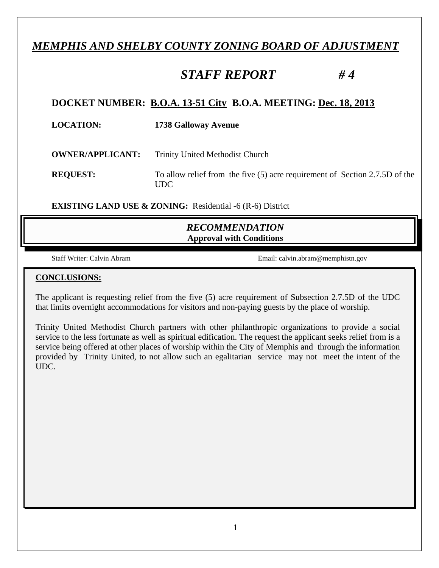# *MEMPHIS AND SHELBY COUNTY ZONING BOARD OF ADJUSTMENT*

# *STAFF REPORT # 4*

# **DOCKET NUMBER: B.O.A. 13-51 City B.O.A. MEETING: Dec. 18, 2013**

| <b>LOCATION:</b>        | <b>1738 Galloway Avenue</b>                                                         |
|-------------------------|-------------------------------------------------------------------------------------|
| <b>OWNER/APPLICANT:</b> | <b>Trinity United Methodist Church</b>                                              |
| <b>REQUEST:</b>         | To allow relief from the five (5) acre requirement of Section 2.7.5D of the<br>UDC. |

**EXISTING LAND USE & ZONING:** Residential -6 (R-6) District

# *RECOMMENDATION*  **Approval with Conditions**

Staff Writer: Calvin Abram Email: calvin.abram@memphistn.gov

#### **CONCLUSIONS:**

The applicant is requesting relief from the five (5) acre requirement of Subsection 2.7.5D of the UDC that limits overnight accommodations for visitors and non-paying guests by the place of worship.

Trinity United Methodist Church partners with other philanthropic organizations to provide a social service to the less fortunate as well as spiritual edification. The request the applicant seeks relief from is a service being offered at other places of worship within the City of Memphis and through the information provided by Trinity United, to not allow such an egalitarian service may not meet the intent of the UDC.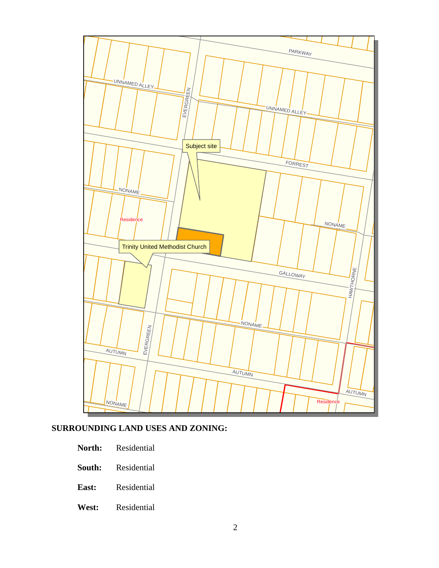

# **SURROUNDING LAND USES AND ZONING:**

- **North:** Residential
- **South:** Residential
- **East:** Residential
- **West:** Residential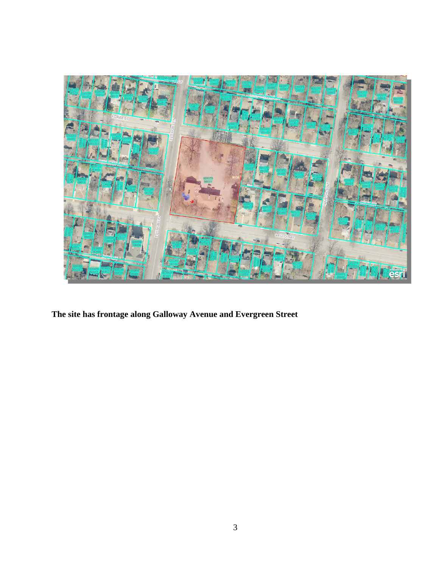

**The site has frontage along Galloway Avenue and Evergreen Street**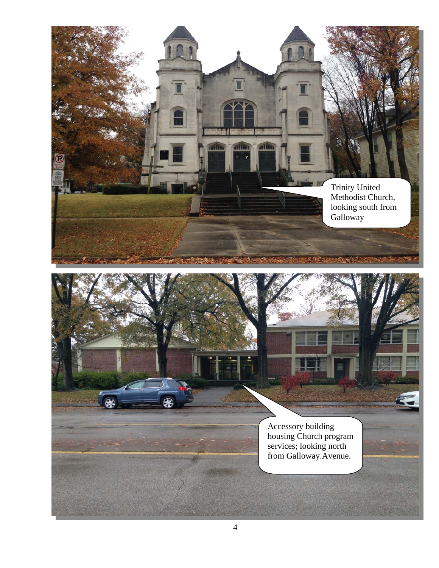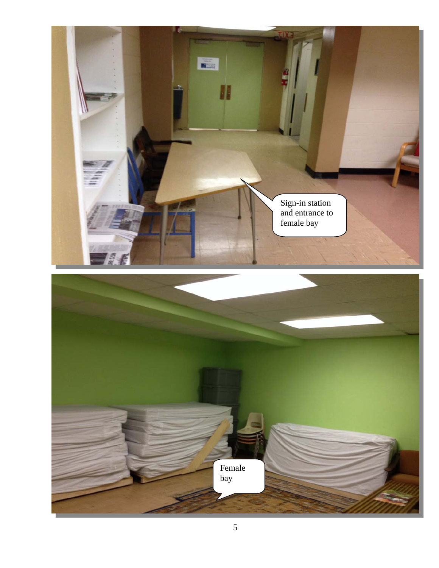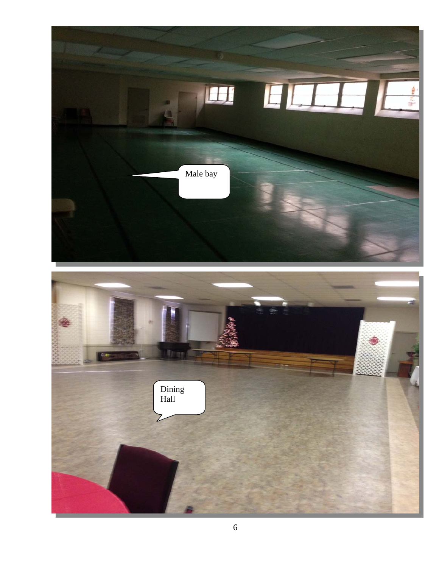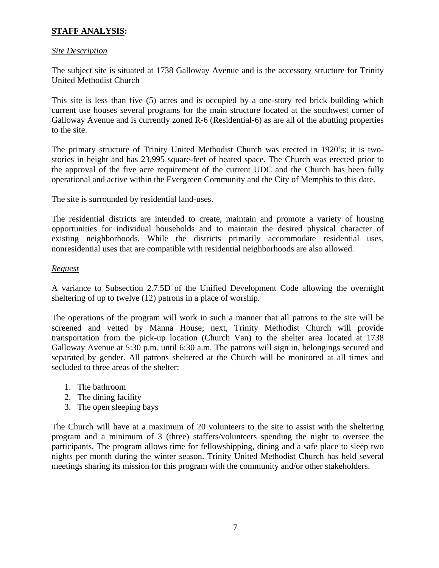# **STAFF ANALYSIS:**

#### *Site Description*

The subject site is situated at 1738 Galloway Avenue and is the accessory structure for Trinity United Methodist Church

This site is less than five (5) acres and is occupied by a one-story red brick building which current use houses several programs for the main structure located at the southwest corner of Galloway Avenue and is currently zoned R-6 (Residential-6) as are all of the abutting properties to the site.

The primary structure of Trinity United Methodist Church was erected in 1920's; it is twostories in height and has 23,995 square-feet of heated space. The Church was erected prior to the approval of the five acre requirement of the current UDC and the Church has been fully operational and active within the Evergreen Community and the City of Memphis to this date.

The site is surrounded by residential land-uses.

The residential districts are intended to create, maintain and promote a variety of housing opportunities for individual households and to maintain the desired physical character of existing neighborhoods. While the districts primarily accommodate residential uses, nonresidential uses that are compatible with residential neighborhoods are also allowed.

#### *Request*

A variance to Subsection 2.7.5D of the Unified Development Code allowing the overnight sheltering of up to twelve (12) patrons in a place of worship.

The operations of the program will work in such a manner that all patrons to the site will be screened and vetted by Manna House; next, Trinity Methodist Church will provide transportation from the pick-up location (Church Van) to the shelter area located at 1738 Galloway Avenue at 5:30 p.m. until 6:30 a.m. The patrons will sign in, belongings secured and separated by gender. All patrons sheltered at the Church will be monitored at all times and secluded to three areas of the shelter:

- 1. The bathroom
- 2. The dining facility
- 3. The open sleeping bays

The Church will have at a maximum of 20 volunteers to the site to assist with the sheltering program and a minimum of 3 (three) staffers/volunteers spending the night to oversee the participants. The program allows time for fellowshipping, dining and a safe place to sleep two nights per month during the winter season. Trinity United Methodist Church has held several meetings sharing its mission for this program with the community and/or other stakeholders.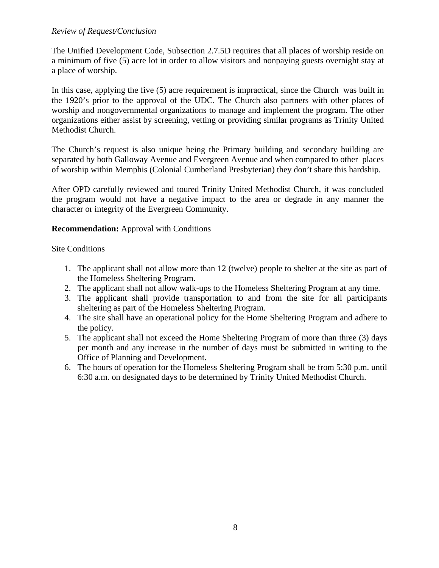#### *Review of Request/Conclusion*

The Unified Development Code, Subsection 2.7.5D requires that all places of worship reside on a minimum of five (5) acre lot in order to allow visitors and nonpaying guests overnight stay at a place of worship.

In this case, applying the five (5) acre requirement is impractical, since the Church was built in the 1920's prior to the approval of the UDC. The Church also partners with other places of worship and nongovernmental organizations to manage and implement the program. The other organizations either assist by screening, vetting or providing similar programs as Trinity United Methodist Church.

The Church's request is also unique being the Primary building and secondary building are separated by both Galloway Avenue and Evergreen Avenue and when compared to other places of worship within Memphis (Colonial Cumberland Presbyterian) they don't share this hardship.

After OPD carefully reviewed and toured Trinity United Methodist Church, it was concluded the program would not have a negative impact to the area or degrade in any manner the character or integrity of the Evergreen Community.

**Recommendation:** Approval with Conditions

Site Conditions

- 1. The applicant shall not allow more than 12 (twelve) people to shelter at the site as part of the Homeless Sheltering Program.
- 2. The applicant shall not allow walk-ups to the Homeless Sheltering Program at any time.
- 3. The applicant shall provide transportation to and from the site for all participants sheltering as part of the Homeless Sheltering Program.
- 4. The site shall have an operational policy for the Home Sheltering Program and adhere to the policy.
- 5. The applicant shall not exceed the Home Sheltering Program of more than three (3) days per month and any increase in the number of days must be submitted in writing to the Office of Planning and Development.
- 6. The hours of operation for the Homeless Sheltering Program shall be from 5:30 p.m. until 6:30 a.m. on designated days to be determined by Trinity United Methodist Church.